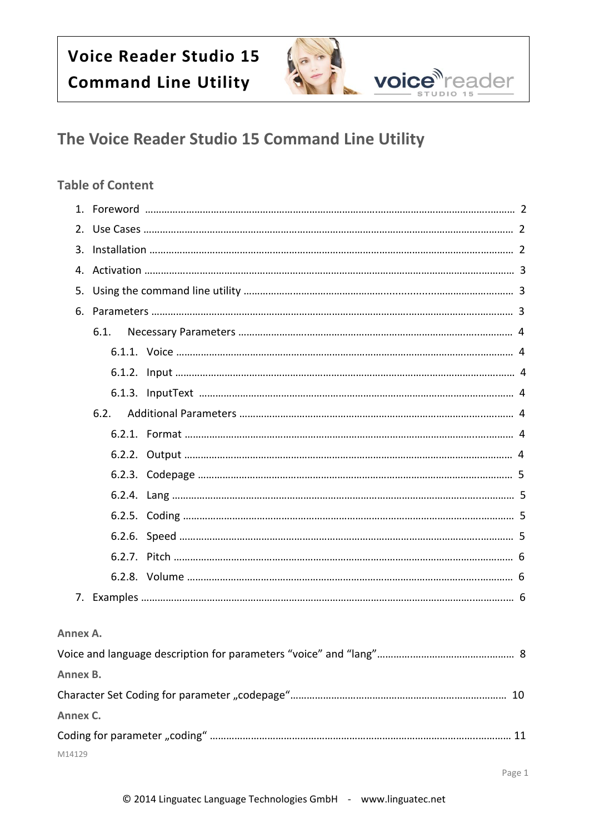

### **Table of Content**

|             | 6.1. |  |
|-------------|------|--|
|             |      |  |
|             |      |  |
|             |      |  |
|             | 6.2. |  |
|             |      |  |
|             |      |  |
|             |      |  |
|             |      |  |
|             |      |  |
|             |      |  |
|             |      |  |
|             |      |  |
|             |      |  |
|             |      |  |
| Annex A.    |      |  |
|             |      |  |
| Annex B.    |      |  |
|             |      |  |
| $A = A - A$ |      |  |

**Annex C.**  Coding for parameter "coding" ……………………………………………………………………………………..………… 11 M14129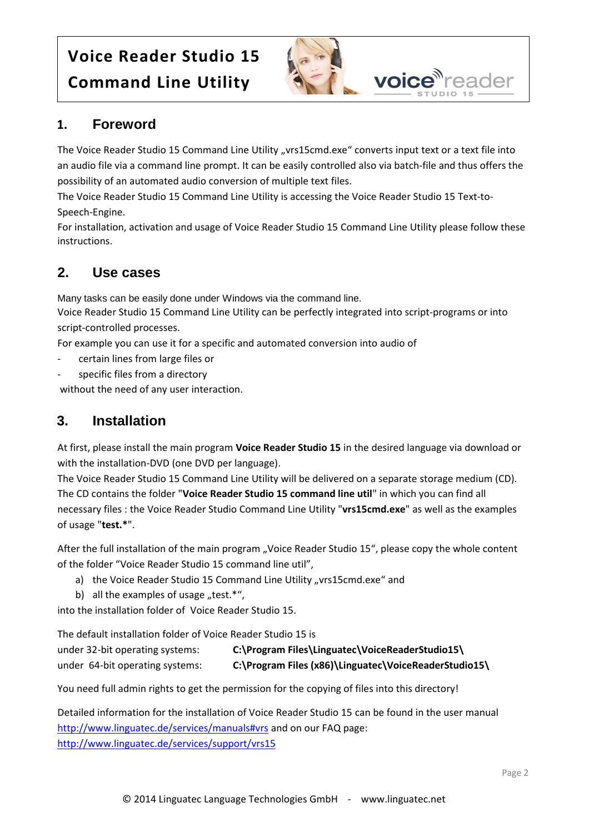

## **1. Foreword**

The Voice Reader Studio 15 Command Line Utility "vrs15cmd.exe" converts input text or a text file into an audio file via a command line prompt. It can be easily controlled also via batch-file and thus offers the possibility of an automated audio conversion of multiple text files.

The Voice Reader Studio 15 Command Line Utility is accessing the Voice Reader Studio 15 Text-to-Speech-Engine.

For installation, activation and usage of Voice Reader Studio 15 Command Line Utility please follow these instructions.

## **2. Use cases**

Many tasks can be easily done under Windows via the command line.

Voice Reader Studio 15 Command Line Utility can be perfectly integrated into script-programs or into script-controlled processes.

For example you can use it for a specific and automated conversion into audio of

- certain lines from large files or
- specific files from a directory

without the need of any user interaction.

### **3. Installation**

At first, please install the main program **Voice Reader Studio 15** in the desired language via download or with the installation-DVD (one DVD per language).

The Voice Reader Studio 15 Command Line Utility will be delivered on a separate storage medium (CD). The CD contains the folder "**Voice Reader Studio 15 command line util**" in which you can find all necessary files : the Voice Reader Studio Command Line Utility "**vrs15cmd.exe**" as well as the examples of usage "**test.\***".

After the full installation of the main program "Voice Reader Studio 15", please copy the whole content of the folder "Voice Reader Studio 15 command line util",

- a) the Voice Reader Studio 15 Command Line Utility "vrs15cmd.exe" and
- b) all the examples of usage "test. $^*$ ",

into the installation folder of Voice Reader Studio 15.

The default installation folder of Voice Reader Studio 15 is

| under 32-bit operating systems: | C:\Program Files\Linguatec\VoiceReaderStudio15\       |
|---------------------------------|-------------------------------------------------------|
| under 64-bit operating systems: | C:\Program Files (x86)\Linguatec\VoiceReaderStudio15\ |

You need full admin rights to get the permission for the copying of files into this directory!

Detailed information for the installation of Voice Reader Studio 15 can be found in the user manual <http://www.linguatec.de/services/manuals#vrs> and on our FAQ page: <http://www.linguatec.de/services/support/vrs15>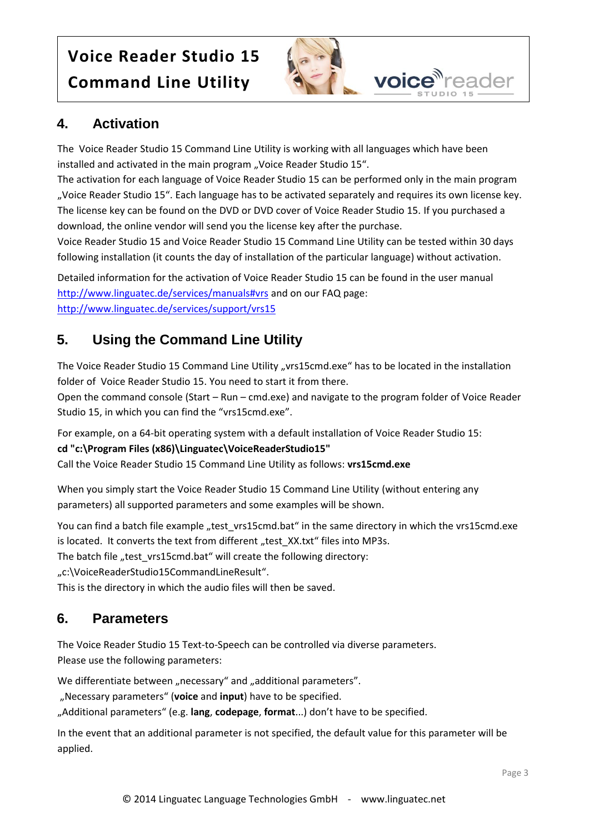

voice<sup>n</sup>reader

## **4. Activation**

The Voice Reader Studio 15 Command Line Utility is working with all languages which have been installed and activated in the main program "Voice Reader Studio 15".

The activation for each language of Voice Reader Studio 15 can be performed only in the main program "Voice Reader Studio 15". Each language has to be activated separately and requires its own license key. The license key can be found on the DVD or DVD cover of Voice Reader Studio 15. If you purchased a download, the online vendor will send you the license key after the purchase.

Voice Reader Studio 15 and Voice Reader Studio 15 Command Line Utility can be tested within 30 days following installation (it counts the day of installation of the particular language) without activation.

Detailed information for the activation of Voice Reader Studio 15 can be found in the user manual <http://www.linguatec.de/services/manuals#vrs> and on our FAQ page: <http://www.linguatec.de/services/support/vrs15>

## **5. Using the Command Line Utility**

The Voice Reader Studio 15 Command Line Utility "vrs15cmd.exe" has to be located in the installation folder of Voice Reader Studio 15. You need to start it from there.

Open the command console (Start – Run – cmd.exe) and navigate to the program folder of Voice Reader Studio 15, in which you can find the "vrs15cmd.exe".

For example, on a 64-bit operating system with a default installation of Voice Reader Studio 15:

### **cd "c:\Program Files (x86)\Linguatec\VoiceReaderStudio15"**

Call the Voice Reader Studio 15 Command Line Utility as follows: **vrs15cmd.exe**

When you simply start the Voice Reader Studio 15 Command Line Utility (without entering any parameters) all supported parameters and some examples will be shown.

You can find a batch file example "test\_vrs15cmd.bat" in the same directory in which the vrs15cmd.exe is located. It converts the text from different "test\_XX.txt" files into MP3s.

The batch file "test\_vrs15cmd.bat" will create the following directory:

"c:\VoiceReaderStudio15CommandLineResult".

This is the directory in which the audio files will then be saved.

## **6. Parameters**

The Voice Reader Studio 15 Text-to-Speech can be controlled via diverse parameters. Please use the following parameters:

We differentiate between "necessary" and "additional parameters".

"Necessary parameters" (**voice** and **input**) have to be specified.

"Additional parameters" (e.g. **lang**, **codepage**, **format**...) don't have to be specified.

In the event that an additional parameter is not specified, the default value for this parameter will be applied.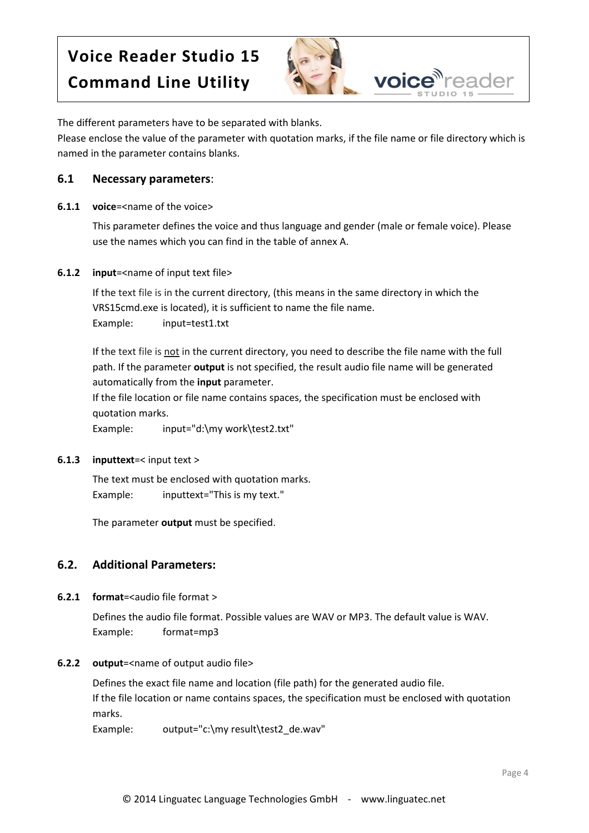

The different parameters have to be separated with blanks.

Please enclose the value of the parameter with quotation marks, if the file name or file directory which is named in the parameter contains blanks.

#### **6.1 Necessary parameters**:

**6.1.1 voice**=<name of the voice>

This parameter defines the voice and thus language and gender (male or female voice). Please use the names which you can find in the table of annex A.

#### **6.1.2 input**=<name of input text file>

If the text file is in the current directory, (this means in the same directory in which the VRS15cmd.exe is located), it is sufficient to name the file name. Example: input=test1.txt

If the text file is not in the current directory, you need to describe the file name with the full path. If the parameter **output** is not specified, the result audio file name will be generated automatically from the **input** parameter.

If the file location or file name contains spaces, the specification must be enclosed with quotation marks.

Example: input="d:\my work\test2.txt"

#### **6.1.3 inputtext**=< input text >

The text must be enclosed with quotation marks. Example: inputtext="This is my text."

The parameter **output** must be specified.

### **6.2. Additional Parameters:**

**6.2.1 format**=<audio file format >

Defines the audio file format. Possible values are WAV or MP3. The default value is WAV. Example: format=mp3

#### **6.2.2 output**=<name of output audio file>

Defines the exact file name and location (file path) for the generated audio file. If the file location or name contains spaces, the specification must be enclosed with quotation marks.

Example: output="c:\my result\test2\_de.wav"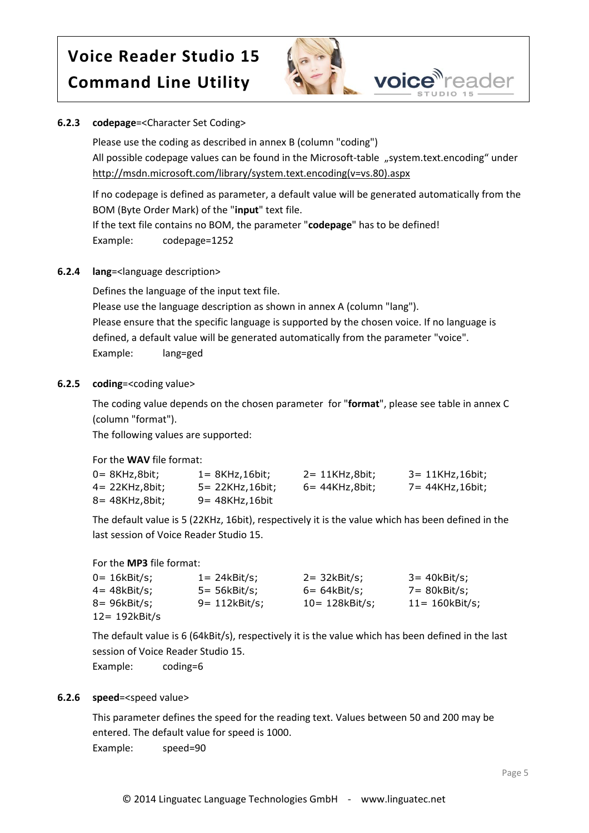

#### **6.2.3 codepage**=<Character Set Coding>

Please use the coding as described in annex B (column "coding") All possible codepage values can be found in the Microsoft-table "system.text.encoding" under [http://msdn.microsoft.com/library/system.text.encoding\(v=vs.80\).aspx](http://msdn.microsoft.com/library/system.text.encoding(v=vs.80).aspx)

If no codepage is defined as parameter, a default value will be generated automatically from the BOM (Byte Order Mark) of the "**input**" text file.

If the text file contains no BOM, the parameter "**codepage**" has to be defined! Example: codepage=1252

#### **6.2.4 lang**=<language description>

Defines the language of the input text file. Please use the language description as shown in annex A (column "lang"). Please ensure that the specific language is supported by the chosen voice. If no language is defined, a default value will be generated automatically from the parameter "voice". Example: lang=ged

#### **6.2.5 coding**=<coding value>

The coding value depends on the chosen parameter for "**format**", please see table in annex C (column "format").

The following values are supported:

For the **WAV** file format:

| 0= 8KHz,8bit;  | $1 = 8KHz, 16bit;$ | $2 = 11$ KHz,8bit; | 3= 11KHz,16bit; |
|----------------|--------------------|--------------------|-----------------|
| 4= 22KHz,8bit; | 5= 22KHz,16bit;    | 6= 44KHz,8bit;     | 7= 44KHz,16bit: |
| 8= 48KHz,8bit; | $9 = 48KHz, 16bit$ |                    |                 |

The default value is 5 (22KHz, 16bit), respectively it is the value which has been defined in the last session of Voice Reader Studio 15.

For the **MP3** file format:

| 0= 16kBit/s;  | $1 = 24kBit/s;$  | $2 = 32kBit/s;$    | 3= 40kBit/s;       |
|---------------|------------------|--------------------|--------------------|
| 4= 48kBit/s:  | 5= 56kBit/s;     | $6=64kBit/s;$      | 7= 80kBit/s;       |
| 8= 96kBit/s;  | $9 = 112kBit/s;$ | $10 = 128$ kBit/s; | $11 = 160$ kBit/s; |
| 12= 192kBit/s |                  |                    |                    |

The default value is 6 (64kBit/s), respectively it is the value which has been defined in the last session of Voice Reader Studio 15.

Example: coding=6

#### **6.2.6 speed**=<speed value>

This parameter defines the speed for the reading text. Values between 50 and 200 may be entered. The default value for speed is 1000. Example: speed=90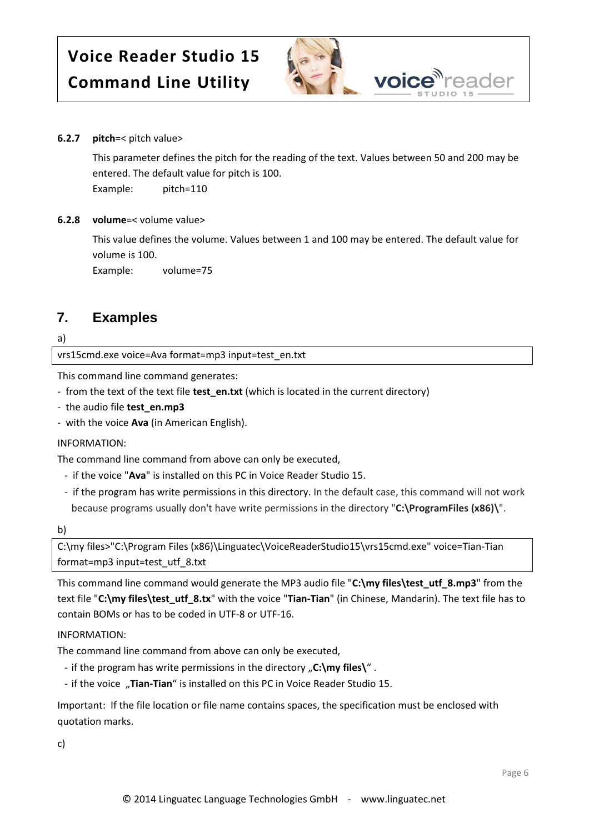

#### **6.2.7 pitch**=< pitch value>

This parameter defines the pitch for the reading of the text. Values between 50 and 200 may be entered. The default value for pitch is 100.

Example: pitch=110

#### **6.2.8 volume**=< volume value>

This value defines the volume. Values between 1 and 100 may be entered. The default value for volume is 100.

Example: volume=75

### **7. Examples**

a)

vrs15cmd.exe voice=Ava format=mp3 input=test\_en.txt

This command line command generates:

- from the text of the text file **test\_en.txt** (which is located in the current directory)
- the audio file **test\_en.mp3**
- with the voice **Ava** (in American English).

#### INFORMATION:

The command line command from above can only be executed,

- if the voice "**Ava**" is installed on this PC in Voice Reader Studio 15.
- if the program has write permissions in this directory. In the default case, this command will not work because programs usually don't have write permissions in the directory "**C:\ProgramFiles (x86)\**".

b)

C:\my files>"C:\Program Files (x86)\Linguatec\VoiceReaderStudio15\vrs15cmd.exe" voice=Tian-Tian format=mp3 input=test\_utf\_8.txt

This command line command would generate the MP3 audio file "**C:\my files\test\_utf\_8.mp3**" from the text file "**C:\my files\test\_utf\_8.tx**" with the voice "**Tian-Tian**" (in Chinese, Mandarin). The text file has to contain BOMs or has to be coded in UTF-8 or UTF-16.

#### INFORMATION:

The command line command from above can only be executed,

- if the program has write permissions in the directory "C:\my files\".
- if the voice "Tian-Tian" is installed on this PC in Voice Reader Studio 15.

Important: If the file location or file name contains spaces, the specification must be enclosed with quotation marks.

c)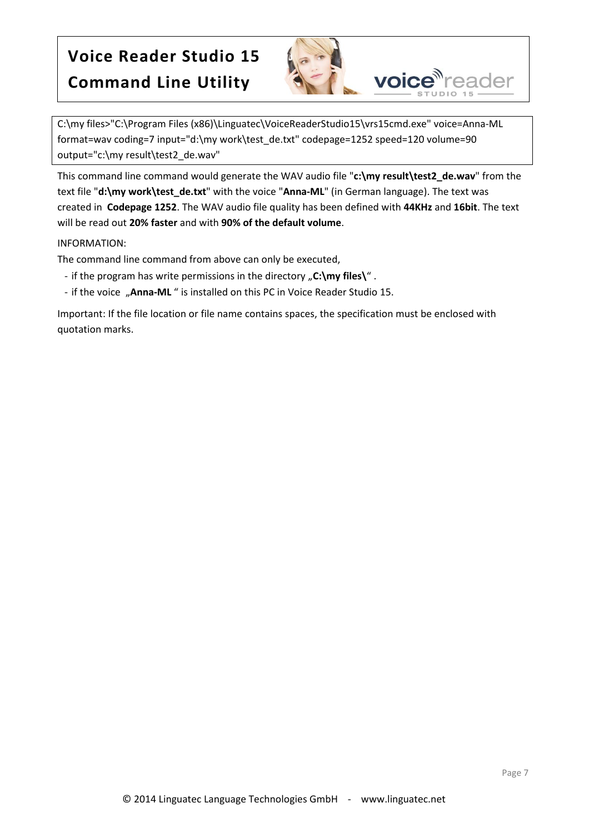

C:\my files>"C:\Program Files (x86)\Linguatec\VoiceReaderStudio15\vrs15cmd.exe" voice=Anna-ML format=wav coding=7 input="d:\my work\test\_de.txt" codepage=1252 speed=120 volume=90 output="c:\my result\test2\_de.wav"

This command line command would generate the WAV audio file "**c:\my result\test2\_de.wav**" from the text file "**d:\my work\test\_de.txt**" with the voice "**Anna-ML**" (in German language). The text was created in **Codepage 1252**. The WAV audio file quality has been defined with **44KHz** and **16bit**. The text will be read out **20% faster** and with **90% of the default volume**.

#### INFORMATION:

The command line command from above can only be executed,

- if the program has write permissions in the directory "C:\my files\".
- if the voice "Anna-ML" is installed on this PC in Voice Reader Studio 15.

Important: If the file location or file name contains spaces, the specification must be enclosed with quotation marks.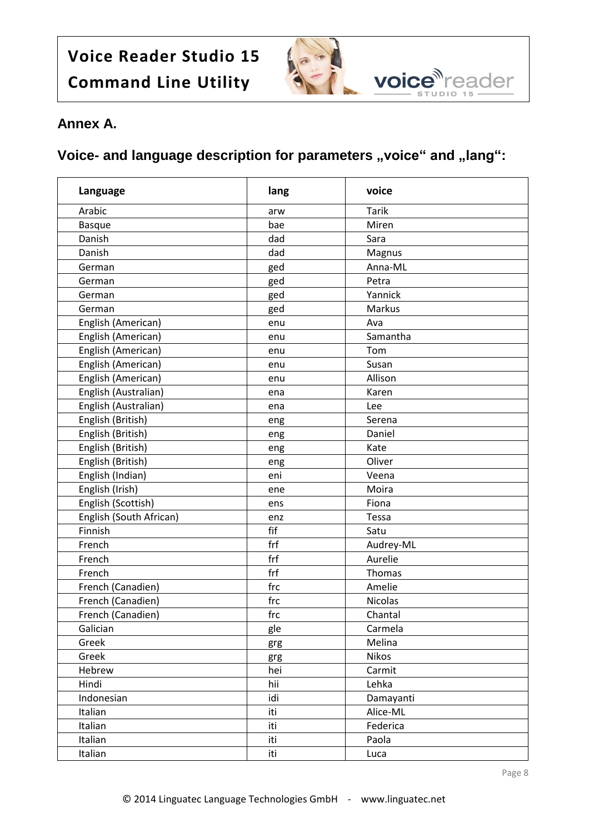

## **Annex A.**

## **Voice-** and language description for parameters "voice" and "lang":

| Language                | lang | voice        |
|-------------------------|------|--------------|
| Arabic                  | arw  | <b>Tarik</b> |
| <b>Basque</b>           | bae  | Miren        |
| Danish                  | dad  | Sara         |
| Danish                  | dad  | Magnus       |
| German                  | ged  | Anna-ML      |
| German                  | ged  | Petra        |
| German                  | ged  | Yannick      |
| German                  | ged  | Markus       |
| English (American)      | enu  | Ava          |
| English (American)      | enu  | Samantha     |
| English (American)      | enu  | Tom          |
| English (American)      | enu  | Susan        |
| English (American)      | enu  | Allison      |
| English (Australian)    | ena  | Karen        |
| English (Australian)    | ena  | Lee          |
| English (British)       | eng  | Serena       |
| English (British)       | eng  | Daniel       |
| English (British)       | eng  | Kate         |
| English (British)       | eng  | Oliver       |
| English (Indian)        | eni  | Veena        |
| English (Irish)         | ene  | Moira        |
| English (Scottish)      | ens  | Fiona        |
| English (South African) | enz  | Tessa        |
| Finnish                 | fif  | Satu         |
| French                  | frf  | Audrey-ML    |
| French                  | frf  | Aurelie      |
| French                  | frf  | Thomas       |
| French (Canadien)       | frc  | Amelie       |
| French (Canadien)       | frc  | Nicolas      |
| French (Canadien)       | frc  | Chantal      |
| Galician                | gle  | Carmela      |
| Greek                   | grg  | Melina       |
| Greek                   | grg  | Nikos        |
| Hebrew                  | hei  | Carmit       |
| Hindi                   | hii  | Lehka        |
| Indonesian              | idi  | Damayanti    |
| Italian                 | iti  | Alice-ML     |
| Italian                 | iti  | Federica     |
| Italian                 | iti  | Paola        |
| Italian                 | iti  | Luca         |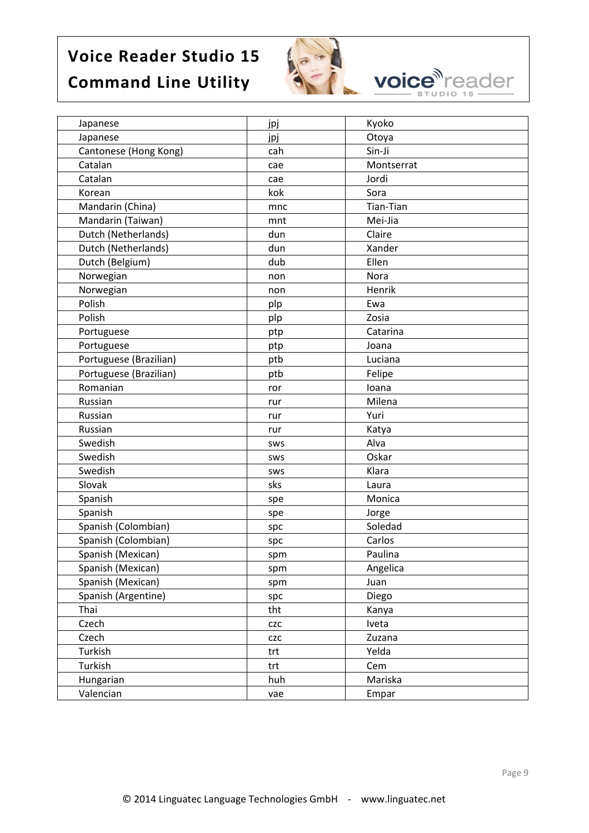

**voice** reader

| Japanese               | jpj        | Kyoko      |
|------------------------|------------|------------|
| Japanese               | jpj        | Otoya      |
| Cantonese (Hong Kong)  | cah        | Sin-Ji     |
| Catalan                | cae        | Montserrat |
| Catalan                | cae        | Jordi      |
| Korean                 | kok        | Sora       |
| Mandarin (China)       | mnc        | Tian-Tian  |
| Mandarin (Taiwan)      | mnt        | Mei-Jia    |
| Dutch (Netherlands)    | dun        | Claire     |
| Dutch (Netherlands)    | dun        | Xander     |
| Dutch (Belgium)        | dub        | Ellen      |
| Norwegian              | non        | Nora       |
| Norwegian              | non        | Henrik     |
| Polish                 | plp        | Ewa        |
| Polish                 | plp        | Zosia      |
| Portuguese             | ptp        | Catarina   |
| Portuguese             | ptp        | Joana      |
| Portuguese (Brazilian) | ptb        | Luciana    |
| Portuguese (Brazilian) | ptb        | Felipe     |
| Romanian               | ror        | Ioana      |
| Russian                | rur        | Milena     |
| Russian                | rur        | Yuri       |
| Russian                | rur        | Katya      |
| Swedish                | SWS        | Alva       |
| Swedish                | <b>SWS</b> | Oskar      |
| Swedish                | <b>SWS</b> | Klara      |
| Slovak                 | sks        | Laura      |
| Spanish                | spe        | Monica     |
| Spanish                | spe        | Jorge      |
| Spanish (Colombian)    | spc        | Soledad    |
| Spanish (Colombian)    | spc        | Carlos     |
| Spanish (Mexican)      | spm        | Paulina    |
| Spanish (Mexican)      | spm        | Angelica   |
| Spanish (Mexican)      | spm        | Juan       |
| Spanish (Argentine)    | spc        | Diego      |
| Thai                   | tht        | Kanya      |
| Czech                  | <b>CZC</b> | Iveta      |
| Czech                  | <b>CZC</b> | Zuzana     |
| Turkish                | trt        | Yelda      |
| Turkish                | trt        | Cem        |
| Hungarian              | huh        | Mariska    |
| Valencian              | vae        | Empar      |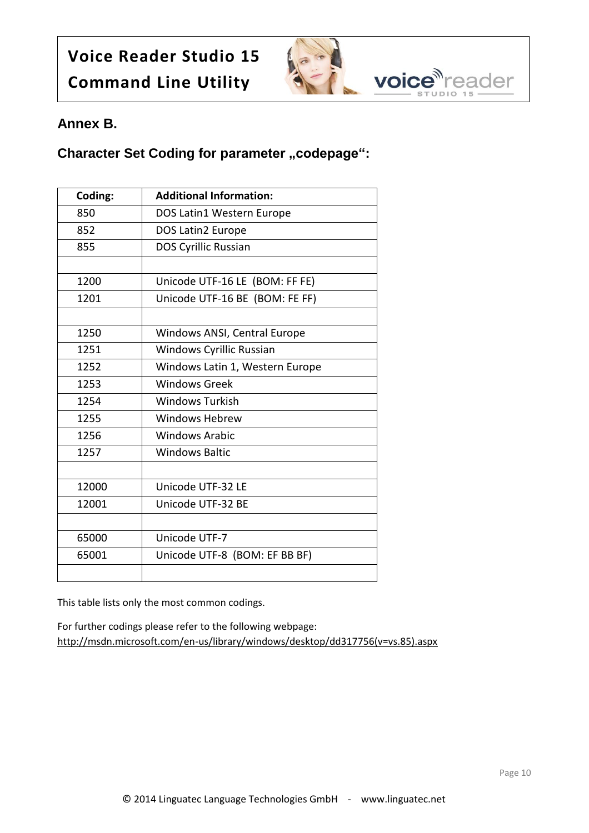

### **Annex B.**

### **Character Set Coding for parameter "codepage":**

| Coding: | <b>Additional Information:</b>  |
|---------|---------------------------------|
| 850     | DOS Latin1 Western Europe       |
| 852     | <b>DOS Latin2 Europe</b>        |
| 855     | <b>DOS Cyrillic Russian</b>     |
|         |                                 |
| 1200    | Unicode UTF-16 LE (BOM: FF FE)  |
| 1201    | Unicode UTF-16 BE (BOM: FE FF)  |
|         |                                 |
| 1250    | Windows ANSI, Central Europe    |
| 1251    | <b>Windows Cyrillic Russian</b> |
| 1252    | Windows Latin 1, Western Europe |
| 1253    | <b>Windows Greek</b>            |
| 1254    | <b>Windows Turkish</b>          |
| 1255    | Windows Hebrew                  |
| 1256    | <b>Windows Arabic</b>           |
| 1257    | <b>Windows Baltic</b>           |
|         |                                 |
| 12000   | Unicode UTF-32 LE               |
| 12001   | Unicode UTF-32 BE               |
|         |                                 |
| 65000   | Unicode UTF-7                   |
| 65001   | Unicode UTF-8 (BOM: EF BB BF)   |
|         |                                 |

This table lists only the most common codings.

For further codings please refer to the following webpage: [http://msdn.microsoft.com/en-us/library/windows/desktop/dd317756\(v=vs.85\).aspx](http://msdn.microsoft.com/en-us/library/windows/desktop/dd317756(v=vs.85).aspx)